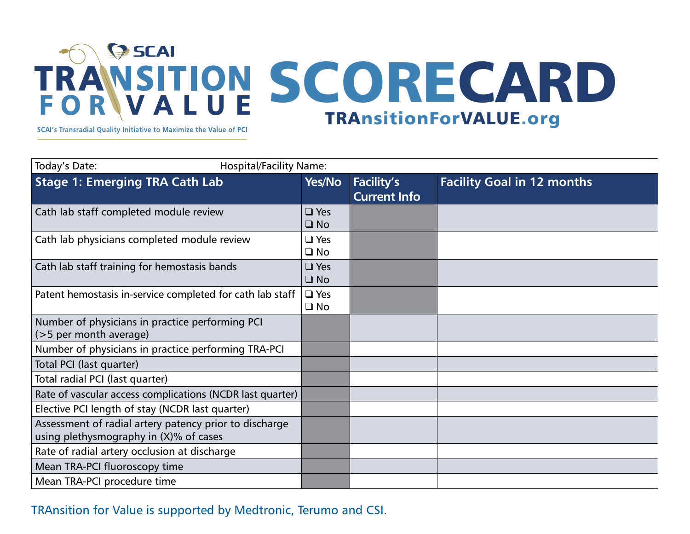## $\bigcirc$  SCAI TRANSITION SCORECARD TRAnsitionForVALUE.org

SCAI's Transradial Quality Initiative to Maximize the Value of PCI

| Today's Date:                                                                                    | <b>Hospital/Facility Name:</b> |                            |                                          |                                   |  |
|--------------------------------------------------------------------------------------------------|--------------------------------|----------------------------|------------------------------------------|-----------------------------------|--|
| <b>Stage 1: Emerging TRA Cath Lab</b>                                                            |                                | Yes/No                     | <b>Facility's</b><br><b>Current Info</b> | <b>Facility Goal in 12 months</b> |  |
| Cath lab staff completed module review                                                           |                                | $\Box$ Yes<br>$\Box$ No    |                                          |                                   |  |
| Cath lab physicians completed module review                                                      |                                | $\Box$ Yes<br>$\square$ No |                                          |                                   |  |
| Cath lab staff training for hemostasis bands                                                     |                                | $\Box$ Yes<br>$\Box$ No    |                                          |                                   |  |
| Patent hemostasis in-service completed for cath lab staff                                        |                                | $\Box$ Yes<br>$\square$ No |                                          |                                   |  |
| Number of physicians in practice performing PCI<br>(>5 per month average)                        |                                |                            |                                          |                                   |  |
| Number of physicians in practice performing TRA-PCI                                              |                                |                            |                                          |                                   |  |
| Total PCI (last quarter)                                                                         |                                |                            |                                          |                                   |  |
| Total radial PCI (last quarter)                                                                  |                                |                            |                                          |                                   |  |
| Rate of vascular access complications (NCDR last quarter)                                        |                                |                            |                                          |                                   |  |
| Elective PCI length of stay (NCDR last quarter)                                                  |                                |                            |                                          |                                   |  |
| Assessment of radial artery patency prior to discharge<br>using plethysmography in (X)% of cases |                                |                            |                                          |                                   |  |
| Rate of radial artery occlusion at discharge                                                     |                                |                            |                                          |                                   |  |
| Mean TRA-PCI fluoroscopy time                                                                    |                                |                            |                                          |                                   |  |
| Mean TRA-PCI procedure time                                                                      |                                |                            |                                          |                                   |  |
|                                                                                                  |                                |                            |                                          |                                   |  |

## TRAnsition for Value is supported by Medtronic, Terumo and CSI.